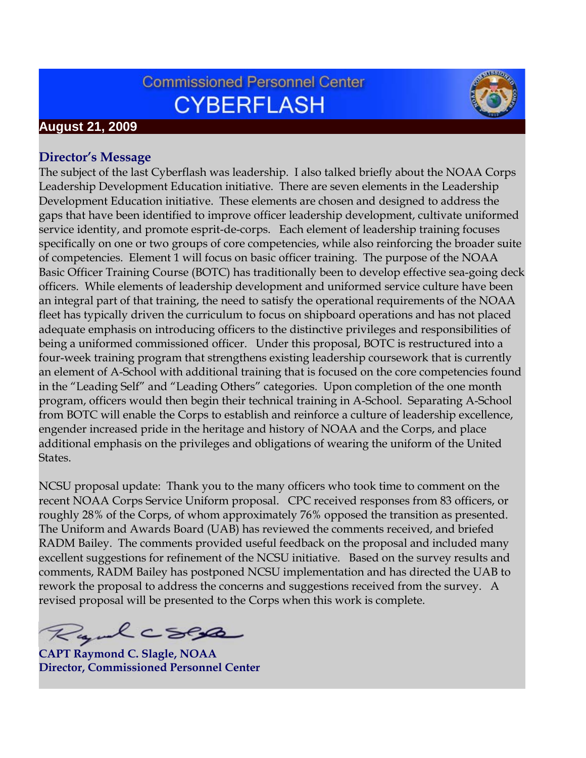# **Commissioned Personnel Center CYBERFLASH**



### **August 21, 2009**

#### **Director's Message**

The subject of the last Cyberflash was leadership. I also talked briefly about the NOAA Corps Leadership Development Education initiative. There are seven elements in the Leadership Development Education initiative. These elements are chosen and designed to address the gaps that have been identified to improve officer leadership development, cultivate uniformed service identity, and promote esprit-de-corps. Each element of leadership training focuses specifically on one or two groups of core competencies, while also reinforcing the broader suite of competencies. Element 1 will focus on basic officer training. The purpose of the NOAA Basic Officer Training Course (BOTC) has traditionally been to develop effective sea-going deck officers. While elements of leadership development and uniformed service culture have been an integral part of that training, the need to satisfy the operational requirements of the NOAA fleet has typically driven the curriculum to focus on shipboard operations and has not placed adequate emphasis on introducing officers to the distinctive privileges and responsibilities of being a uniformed commissioned officer. Under this proposal, BOTC is restructured into a four-week training program that strengthens existing leadership coursework that is currently an element of A-School with additional training that is focused on the core competencies found in the "Leading Self" and "Leading Others" categories. Upon completion of the one month program, officers would then begin their technical training in A-School. Separating A-School from BOTC will enable the Corps to establish and reinforce a culture of leadership excellence, engender increased pride in the heritage and history of NOAA and the Corps, and place additional emphasis on the privileges and obligations of wearing the uniform of the United States.

NCSU proposal update: Thank you to the many officers who took time to comment on the recent NOAA Corps Service Uniform proposal. CPC received responses from 83 officers, or roughly 28% of the Corps, of whom approximately 76% opposed the transition as presented. The Uniform and Awards Board (UAB) has reviewed the comments received, and briefed RADM Bailey. The comments provided useful feedback on the proposal and included many excellent suggestions for refinement of the NCSU initiative. Based on the survey results and comments, RADM Bailey has postponed NCSU implementation and has directed the UAB to rework the proposal to address the concerns and suggestions received from the survey. A revised proposal will be presented to the Corps when this work is complete.

Ryalcock

**CAPT Raymond C. Slagle, NOAA Director, Commissioned Personnel Center**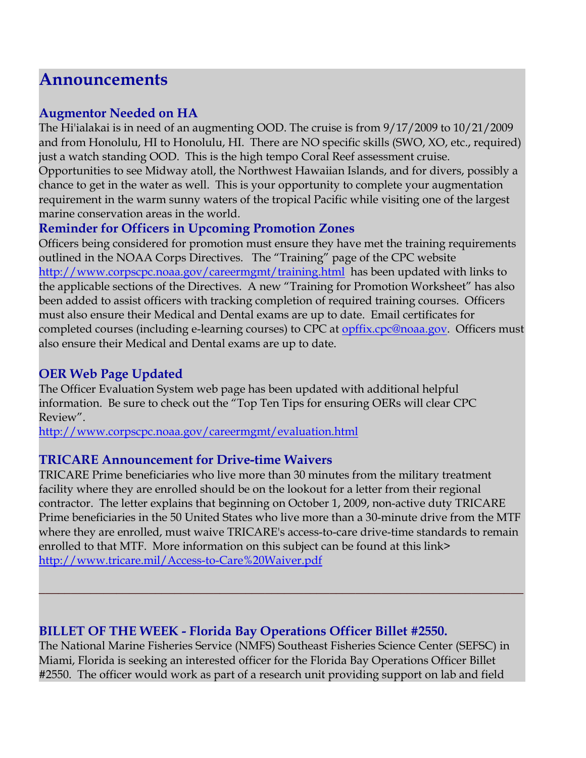# **Announcements**

#### **Augmentor Needed on HA**

The Hi'ialakai is in need of an augmenting OOD. The cruise is from 9/17/2009 to 10/21/2009 and from Honolulu, HI to Honolulu, HI. There are NO specific skills (SWO, XO, etc., required) just a watch standing OOD. This is the high tempo Coral Reef assessment cruise. Opportunities to see Midway atoll, the Northwest Hawaiian Islands, and for divers, possibly a chance to get in the water as well. This is your opportunity to complete your augmentation requirement in the warm sunny waters of the tropical Pacific while visiting one of the largest marine conservation areas in the world.

# **Reminder for Officers in Upcoming Promotion Zones**

Officers being considered for promotion must ensure they have met the training requirements outlined in the NOAA Corps Directives. The "Training" page of the CPC website <http://www.corpscpc.noaa.gov/careermgmt/training.html> has been updated with links to the applicable sections of the Directives. A new "Training for Promotion Worksheet" has also been added to assist officers with tracking completion of required training courses. Officers must also ensure their Medical and Dental exams are up to date. Email certificates for completed courses (including e-learning courses) to CPC at [opffix.cpc@noaa.gov.](mailto:opffix.cpc@noaa.gov) Officers must also ensure their Medical and Dental exams are up to date.

## **OER Web Page Updated**

The Officer Evaluation System web page has been updated with additional helpful information. Be sure to check out the "Top Ten Tips for ensuring OERs will clear CPC Review".

<http://www.corpscpc.noaa.gov/careermgmt/evaluation.html>

### **TRICARE Announcement for Drive-time Waivers**

TRICARE Prime beneficiaries who live more than 30 minutes from the military treatment facility where they are enrolled should be on the lookout for a letter from their regional contractor. The letter explains that beginning on October 1, 2009, non-active duty TRICARE Prime beneficiaries in the 50 United States who live more than a 30-minute drive from the MTF where they are enrolled, must waive TRICARE's access-to-care drive-time standards to remain enrolled to that MTF. More information on this subject can be found at this link> <http://www.tricare.mil/Access-to-Care%20Waiver.pdf>

**\_\_\_\_\_\_\_\_\_\_\_\_\_\_\_\_\_\_\_\_\_\_\_\_\_\_\_\_\_\_\_\_\_\_\_\_\_\_\_\_\_\_\_\_\_\_\_\_\_\_\_\_\_\_\_\_\_\_\_\_\_\_\_\_\_\_\_\_\_\_\_\_\_\_\_**

## **BILLET OF THE WEEK - Florida Bay Operations Officer Billet #2550.**

The National Marine Fisheries Service (NMFS) Southeast Fisheries Science Center (SEFSC) in Miami, Florida is seeking an interested officer for the Florida Bay Operations Officer Billet #2550. The officer would work as part of a research unit providing support on lab and field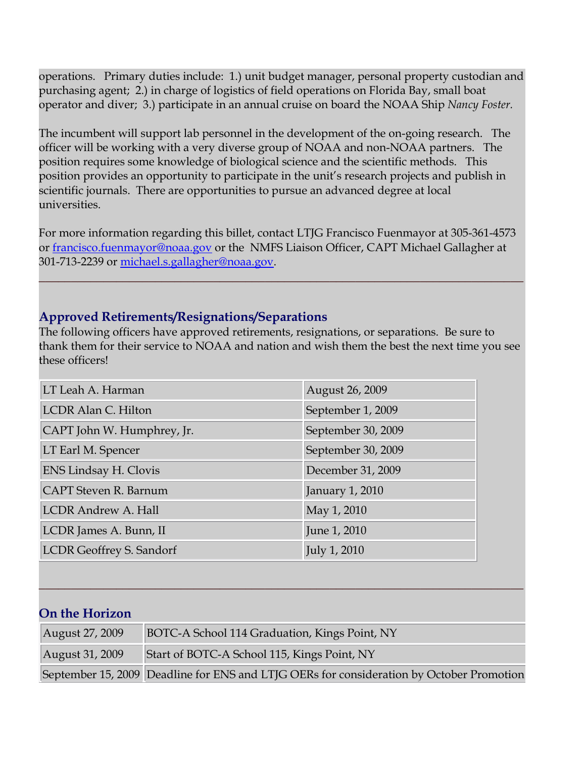operations. Primary duties include: 1.) unit budget manager, personal property custodian and purchasing agent; 2.) in charge of logistics of field operations on Florida Bay, small boat operator and diver; 3.) participate in an annual cruise on board the NOAA Ship *Nancy Foster.* 

The incumbent will support lab personnel in the development of the on-going research. The officer will be working with a very diverse group of NOAA and non-NOAA partners. The position requires some knowledge of biological science and the scientific methods. This position provides an opportunity to participate in the unit's research projects and publish in scientific journals. There are opportunities to pursue an advanced degree at local universities.

For more information regarding this billet, contact LTJG Francisco Fuenmayor at 305-361-4573 or [francisco.fuenmayor@noaa.gov](mailto:francisco.fuenmayor@noaa.gov) or the NMFS Liaison Officer, CAPT Michael Gallagher at 301-713-2239 or [michael.s.gallagher@noaa.gov.](mailto:michael.s.gallagher@noaa.gov)

**\_\_\_\_\_\_\_\_\_\_\_\_\_\_\_\_\_\_\_\_\_\_\_\_\_\_\_\_\_\_\_\_\_\_\_\_\_\_\_\_\_\_\_\_\_\_\_\_\_\_\_\_\_\_\_\_\_\_\_\_\_\_\_\_\_\_\_\_\_\_\_\_\_\_\_**

### **Approved Retirements/Resignations/Separations**

The following officers have approved retirements, resignations, or separations. Be sure to thank them for their service to NOAA and nation and wish them the best the next time you see these officers!

| LT Leah A. Harman               | August 26, 2009    |
|---------------------------------|--------------------|
| LCDR Alan C. Hilton             | September 1, 2009  |
| CAPT John W. Humphrey, Jr.      | September 30, 2009 |
| LT Earl M. Spencer              | September 30, 2009 |
| <b>ENS Lindsay H. Clovis</b>    | December 31, 2009  |
| <b>CAPT</b> Steven R. Barnum    | January 1, 2010    |
| <b>LCDR Andrew A. Hall</b>      | May 1, 2010        |
| LCDR James A. Bunn, II          | June 1, 2010       |
| <b>LCDR Geoffrey S. Sandorf</b> | July 1, 2010       |

### **On the Horizon**

| August 27, 2009 | BOTC-A School 114 Graduation, Kings Point, NY                                            |
|-----------------|------------------------------------------------------------------------------------------|
| August 31, 2009 | Start of BOTC-A School 115, Kings Point, NY                                              |
|                 | September 15, 2009 Deadline for ENS and LTJG OERs for consideration by October Promotion |

**\_\_\_\_\_\_\_\_\_\_\_\_\_\_\_\_\_\_\_\_\_\_\_\_\_\_\_\_\_\_\_\_\_\_\_\_\_\_\_\_\_\_\_\_\_\_\_\_\_\_\_\_\_\_\_\_\_\_\_\_\_\_\_\_\_\_\_\_\_\_\_\_\_\_\_**